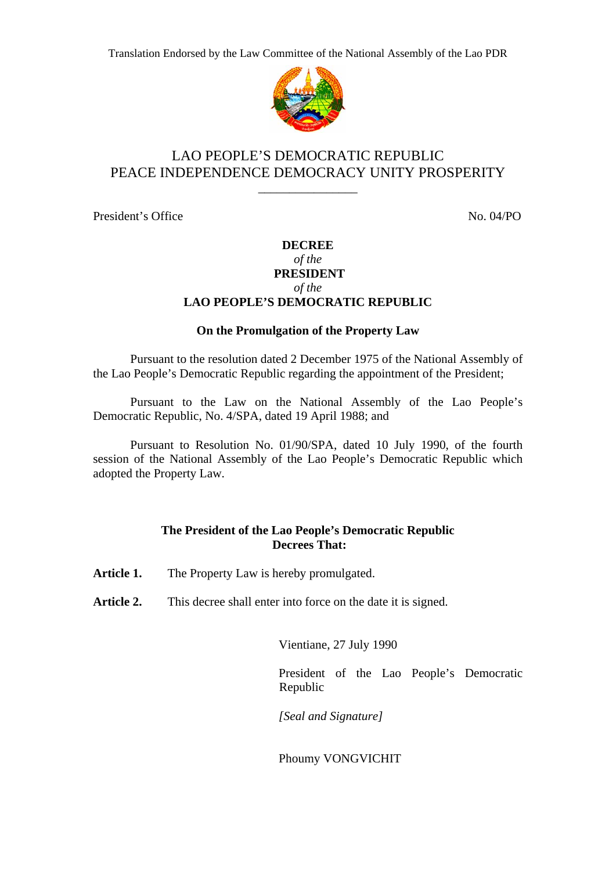

## LAO PEOPLE'S DEMOCRATIC REPUBLIC PEACE INDEPENDENCE DEMOCRACY UNITY PROSPERITY

\_\_\_\_\_\_\_\_\_\_\_\_\_\_\_\_

President's Office No. 04/PO

## **DECREE**  *of the*   **PRESIDENT**  *of the*  **LAO PEOPLE'S DEMOCRATIC REPUBLIC**

## **On the Promulgation of the Property Law**

 Pursuant to the resolution dated 2 December 1975 of the National Assembly of the Lao People's Democratic Republic regarding the appointment of the President;

 Pursuant to the Law on the National Assembly of the Lao People's Democratic Republic, No. 4/SPA, dated 19 April 1988; and

 Pursuant to Resolution No. 01/90/SPA, dated 10 July 1990, of the fourth session of the National Assembly of the Lao People's Democratic Republic which adopted the Property Law.

## **The President of the Lao People's Democratic Republic Decrees That:**

Article 1. The Property Law is hereby promulgated.

Article 2. This decree shall enter into force on the date it is signed.

Vientiane, 27 July 1990

President of the Lao People's Democratic Republic

*[Seal and Signature]* 

Phoumy VONGVICHIT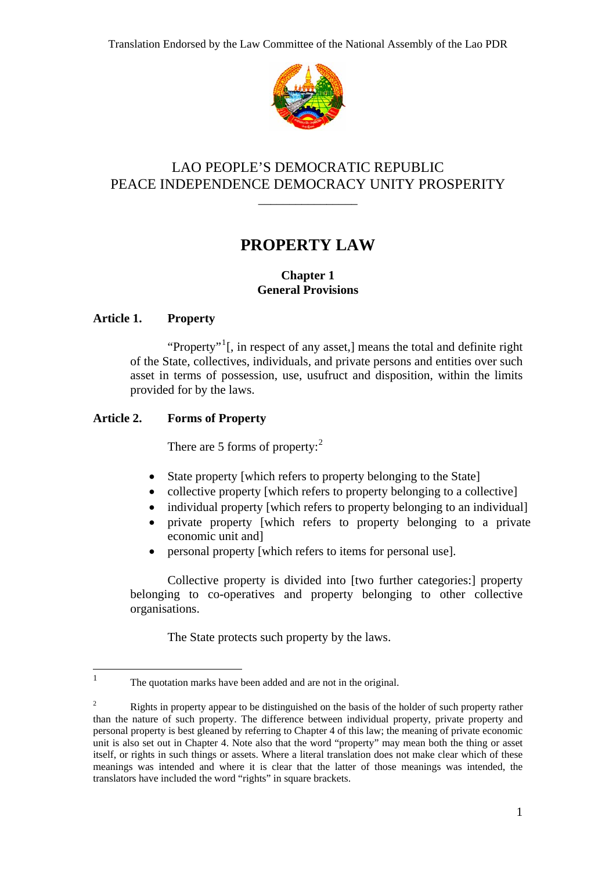

# LAO PEOPLE'S DEMOCRATIC REPUBLIC PEACE INDEPENDENCE DEMOCRACY UNITY PROSPERITY

\_\_\_\_\_\_\_\_\_\_\_\_\_\_\_\_

# **PROPERTY LAW**

## **Chapter 1 General Provisions**

## **Article 1. Property**

<span id="page-1-0"></span> $\frac{1}{1}$ 

"Property"<sup>[1](#page-1-0)</sup>[, in respect of any asset,] means the total and definite right of the State, collectives, individuals, and private persons and entities over such asset in terms of possession, use, usufruct and disposition, within the limits provided for by the laws.

## **Article 2. Forms of Property**

There are 5 forms of property: $2$ 

- State property [which refers to property belonging to the State]
- collective property [which refers to property belonging to a collective]
- individual property [which refers to property belonging to an individual]
- private property [which refers to property belonging to a private economic unit and]
- personal property [which refers to items for personal use].

Collective property is divided into [two further categories:] property belonging to co-operatives and property belonging to other collective organisations.

The State protects such property by the laws.

The quotation marks have been added and are not in the original.

<span id="page-1-1"></span><sup>2</sup> Rights in property appear to be distinguished on the basis of the holder of such property rather than the nature of such property. The difference between individual property, private property and personal property is best gleaned by referring to Chapter 4 of this law; the meaning of private economic unit is also set out in Chapter 4. Note also that the word "property" may mean both the thing or asset itself, or rights in such things or assets. Where a literal translation does not make clear which of these meanings was intended and where it is clear that the latter of those meanings was intended, the translators have included the word "rights" in square brackets.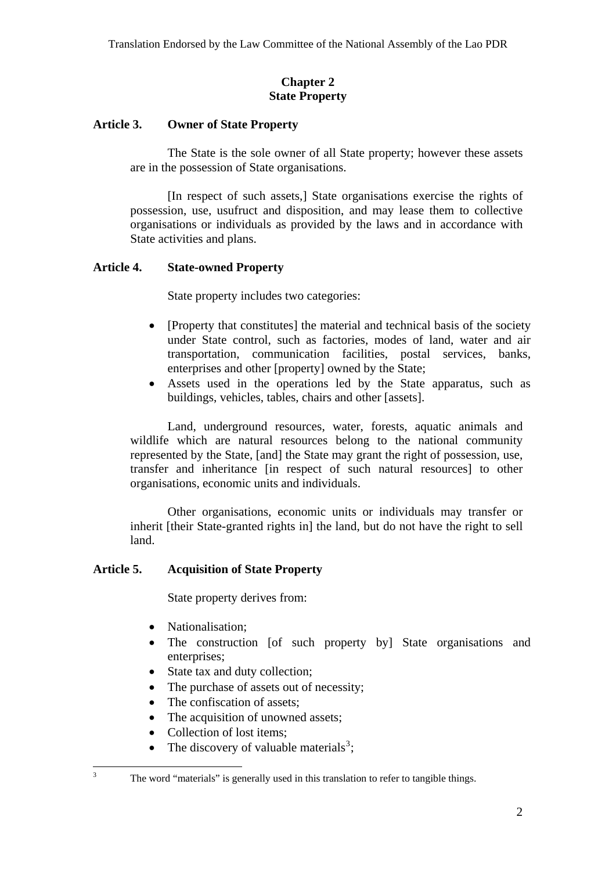## **Chapter 2 State Property**

#### <span id="page-2-0"></span>**Article 3. Owner of State Property**

The State is the sole owner of all State property; however these assets are in the possession of State organisations.

[In respect of such assets,] State organisations exercise the rights of possession, use, usufruct and disposition, and may lease them to collective organisations or individuals as provided by the laws and in accordance with State activities and plans.

#### **Article 4. State-owned Property**

State property includes two categories:

- [Property that constitutes] the material and technical basis of the society under State control, such as factories, modes of land, water and air transportation, communication facilities, postal services, banks, enterprises and other [property] owned by the State;
- Assets used in the operations led by the State apparatus, such as buildings, vehicles, tables, chairs and other [assets].

Land, underground resources, water, forests, aquatic animals and wildlife which are natural resources belong to the national community represented by the State, [and] the State may grant the right of possession, use, transfer and inheritance [in respect of such natural resources] to other organisations, economic units and individuals.

Other organisations, economic units or individuals may transfer or inherit [their State-granted rights in] the land, but do not have the right to sell land.

## **Article 5. Acquisition of State Property**

State property derives from:

- Nationalisation:
- The construction [of such property by] State organisations and enterprises;
- State tax and duty collection;
- The purchase of assets out of necessity;
- The confiscation of assets;
- The acquisition of unowned assets;
- Collection of lost items;

 $\frac{1}{3}$ 

• The discovery of valuable materials<sup>[3](#page-2-0)</sup>;

The word "materials" is generally used in this translation to refer to tangible things.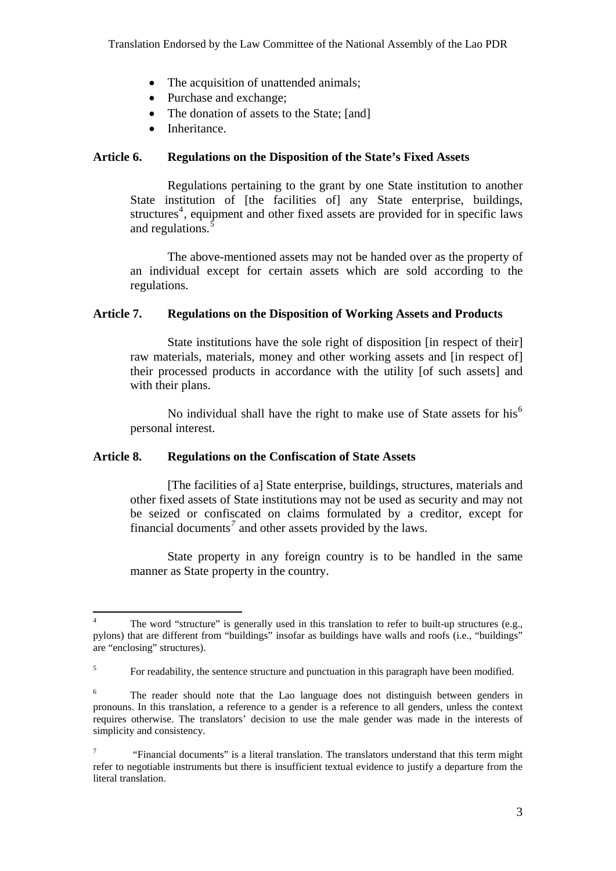- <span id="page-3-0"></span>• The acquisition of unattended animals;
- Purchase and exchange;
- The donation of assets to the State; [and]
- Inheritance.

## **Article 6. Regulations on the Disposition of the State's Fixed Assets**

Regulations pertaining to the grant by one State institution to another State institution of [the facilities of] any State enterprise, buildings, structures<sup>[4](#page-3-0)</sup>, equipment and other fixed assets are provided for in specific laws and regulations.<sup>[5](#page-3-0)</sup>

The above-mentioned assets may not be handed over as the property of an individual except for certain assets which are sold according to the regulations.

#### **Article 7. Regulations on the Disposition of Working Assets and Products**

State institutions have the sole right of disposition [in respect of their] raw materials, materials, money and other working assets and [in respect of] their processed products in accordance with the utility [of such assets] and with their plans.

No individual shall have the right to make use of State assets for his<sup>[6](#page-3-0)</sup> personal interest.

#### **Article 8. Regulations on the Confiscation of State Assets**

[The facilities of a] State enterprise, buildings, structures, materials and other fixed assets of State institutions may not be used as security and may not be seized or confiscated on claims formulated by a creditor, except for financial documents<sup>[7](#page-3-0)</sup> and other assets provided by the laws.

State property in any foreign country is to be handled in the same manner as State property in the country.

 $\frac{1}{4}$  The word "structure" is generally used in this translation to refer to built-up structures (e.g., pylons) that are different from "buildings" insofar as buildings have walls and roofs (i.e., "buildings" are "enclosing" structures).

<sup>5</sup> For readability, the sentence structure and punctuation in this paragraph have been modified.

<sup>6</sup> The reader should note that the Lao language does not distinguish between genders in pronouns. In this translation, a reference to a gender is a reference to all genders, unless the context requires otherwise. The translators' decision to use the male gender was made in the interests of simplicity and consistency.

<sup>7</sup> "Financial documents" is a literal translation. The translators understand that this term might refer to negotiable instruments but there is insufficient textual evidence to justify a departure from the literal translation.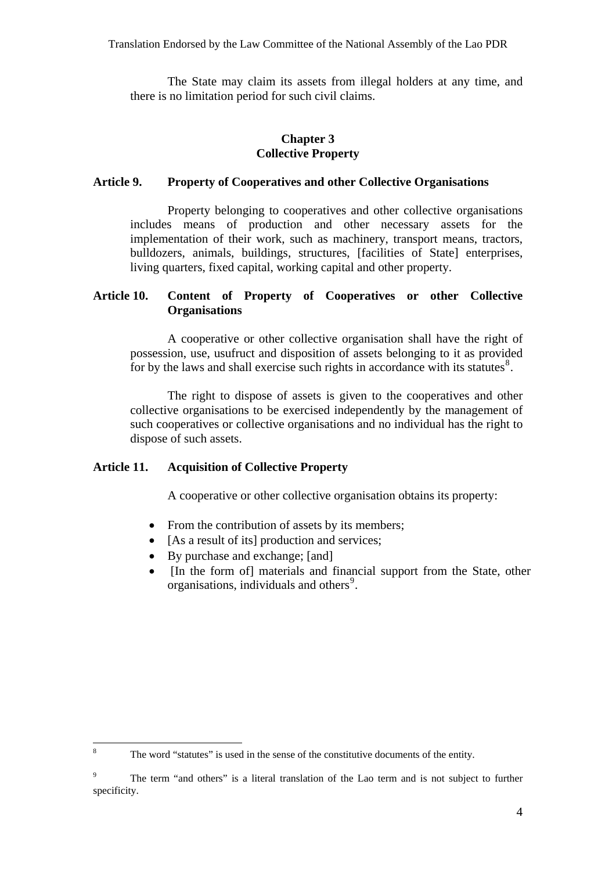<span id="page-4-0"></span>The State may claim its assets from illegal holders at any time, and there is no limitation period for such civil claims.

## **Chapter 3 Collective Property**

#### **Article 9. Property of Cooperatives and other Collective Organisations**

Property belonging to cooperatives and other collective organisations includes means of production and other necessary assets for the implementation of their work, such as machinery, transport means, tractors, bulldozers, animals, buildings, structures, [facilities of State] enterprises, living quarters, fixed capital, working capital and other property.

## **Article 10. Content of Property of Cooperatives or other Collective Organisations**

A cooperative or other collective organisation shall have the right of possession, use, usufruct and disposition of assets belonging to it as provided for by the laws and shall exercise such rights in accordance with its statutes $\mathbf{8}$  $\mathbf{8}$  $\mathbf{8}$ .

The right to dispose of assets is given to the cooperatives and other collective organisations to be exercised independently by the management of such cooperatives or collective organisations and no individual has the right to dispose of such assets.

#### **Article 11. Acquisition of Collective Property**

A cooperative or other collective organisation obtains its property:

- From the contribution of assets by its members;
- [As a result of its] production and services;
- By purchase and exchange; [and]
- [In the form of] materials and financial support from the State, other organisations, individuals and others<sup>[9](#page-4-0)</sup>.

 $\frac{1}{8}$ The word "statutes" is used in the sense of the constitutive documents of the entity.

 9 The term "and others" is a literal translation of the Lao term and is not subject to further specificity.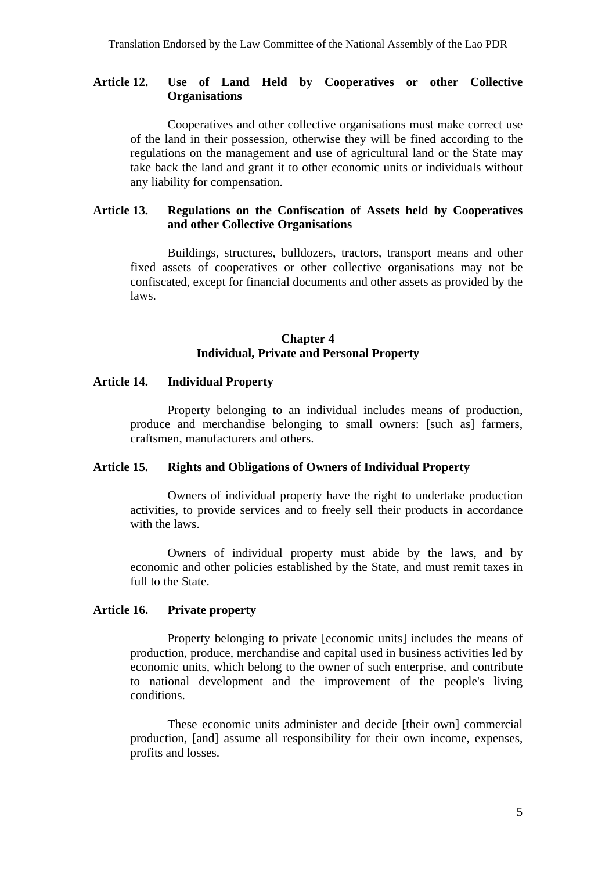## **Article 12. Use of Land Held by Cooperatives or other Collective Organisations**

Cooperatives and other collective organisations must make correct use of the land in their possession, otherwise they will be fined according to the regulations on the management and use of agricultural land or the State may take back the land and grant it to other economic units or individuals without any liability for compensation.

## **Article 13. Regulations on the Confiscation of Assets held by Cooperatives and other Collective Organisations**

Buildings, structures, bulldozers, tractors, transport means and other fixed assets of cooperatives or other collective organisations may not be confiscated, except for financial documents and other assets as provided by the laws.

## **Chapter 4 Individual, Private and Personal Property**

#### **Article 14. Individual Property**

Property belonging to an individual includes means of production, produce and merchandise belonging to small owners: [such as] farmers, craftsmen, manufacturers and others.

#### **Article 15. Rights and Obligations of Owners of Individual Property**

Owners of individual property have the right to undertake production activities, to provide services and to freely sell their products in accordance with the laws.

Owners of individual property must abide by the laws, and by economic and other policies established by the State, and must remit taxes in full to the State.

#### **Article 16. Private property**

Property belonging to private [economic units] includes the means of production, produce, merchandise and capital used in business activities led by economic units, which belong to the owner of such enterprise, and contribute to national development and the improvement of the people's living conditions.

These economic units administer and decide [their own] commercial production, [and] assume all responsibility for their own income, expenses, profits and losses.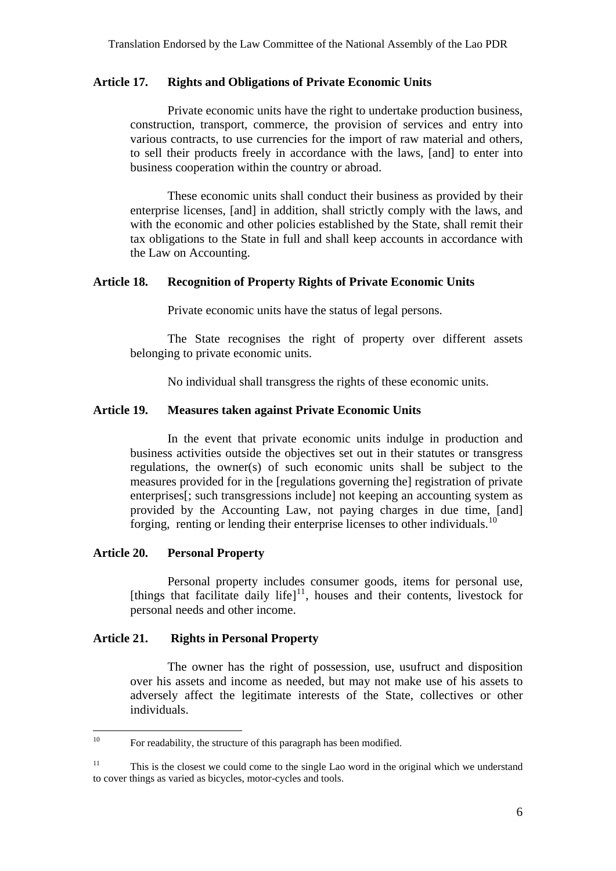#### <span id="page-6-0"></span>**Article 17. Rights and Obligations of Private Economic Units**

Private economic units have the right to undertake production business, construction, transport, commerce, the provision of services and entry into various contracts, to use currencies for the import of raw material and others, to sell their products freely in accordance with the laws, [and] to enter into business cooperation within the country or abroad.

These economic units shall conduct their business as provided by their enterprise licenses, [and] in addition, shall strictly comply with the laws, and with the economic and other policies established by the State, shall remit their tax obligations to the State in full and shall keep accounts in accordance with the Law on Accounting.

#### **Article 18. Recognition of Property Rights of Private Economic Units**

Private economic units have the status of legal persons.

The State recognises the right of property over different assets belonging to private economic units.

No individual shall transgress the rights of these economic units.

#### **Article 19. Measures taken against Private Economic Units**

In the event that private economic units indulge in production and business activities outside the objectives set out in their statutes or transgress regulations, the owner(s) of such economic units shall be subject to the measures provided for in the [regulations governing the] registration of private enterprises[; such transgressions include] not keeping an accounting system as provided by the Accounting Law, not paying charges in due time, [and] forging, renting or lending their enterprise licenses to other individuals.<sup>1</sup>

#### **Article 20. Personal Property**

Personal property includes consumer goods, items for personal use, [things that facilitate daily life] $11$ , houses and their contents, livestock for personal needs and other income.

## **Article 21. Rights in Personal Property**

The owner has the right of possession, use, usufruct and disposition over his assets and income as needed, but may not make use of his assets to adversely affect the legitimate interests of the State, collectives or other individuals.

 $10<sup>10</sup>$ 10 For readability, the structure of this paragraph has been modified.

<sup>&</sup>lt;sup>11</sup> This is the closest we could come to the single Lao word in the original which we understand to cover things as varied as bicycles, motor-cycles and tools.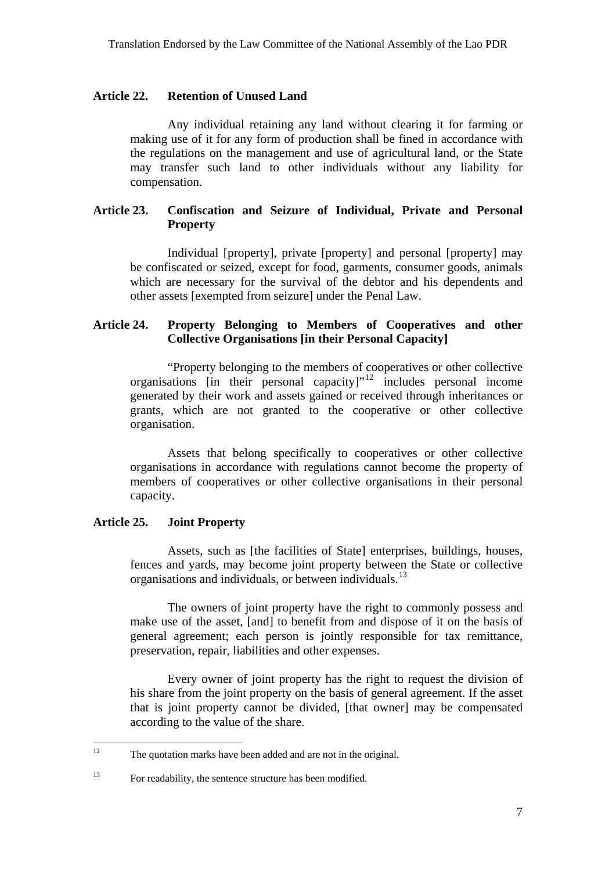#### <span id="page-7-0"></span>**Article 22. Retention of Unused Land**

Any individual retaining any land without clearing it for farming or making use of it for any form of production shall be fined in accordance with the regulations on the management and use of agricultural land, or the State may transfer such land to other individuals without any liability for compensation.

## **Article 23. Confiscation and Seizure of Individual, Private and Personal Property**

Individual [property], private [property] and personal [property] may be confiscated or seized, except for food, garments, consumer goods, animals which are necessary for the survival of the debtor and his dependents and other assets [exempted from seizure] under the Penal Law.

## **Article 24. Property Belonging to Members of Cooperatives and other Collective Organisations [in their Personal Capacity]**

"Property belonging to the members of cooperatives or other collective organisations [in their personal capacity]"[12](#page-7-0) includes personal income generated by their work and assets gained or received through inheritances or grants, which are not granted to the cooperative or other collective organisation.

Assets that belong specifically to cooperatives or other collective organisations in accordance with regulations cannot become the property of members of cooperatives or other collective organisations in their personal capacity.

#### **Article 25. Joint Property**

Assets, such as [the facilities of State] enterprises, buildings, houses, fences and yards, may become joint property between the State or collective organisations and individuals, or between individuals. $^{13}$  $^{13}$  $^{13}$ 

The owners of joint property have the right to commonly possess and make use of the asset, [and] to benefit from and dispose of it on the basis of general agreement; each person is jointly responsible for tax remittance, preservation, repair, liabilities and other expenses.

Every owner of joint property has the right to request the division of his share from the joint property on the basis of general agreement. If the asset that is joint property cannot be divided, [that owner] may be compensated according to the value of the share.

 $12<sup>12</sup>$ The quotation marks have been added and are not in the original.

<sup>&</sup>lt;sup>13</sup> For readability, the sentence structure has been modified.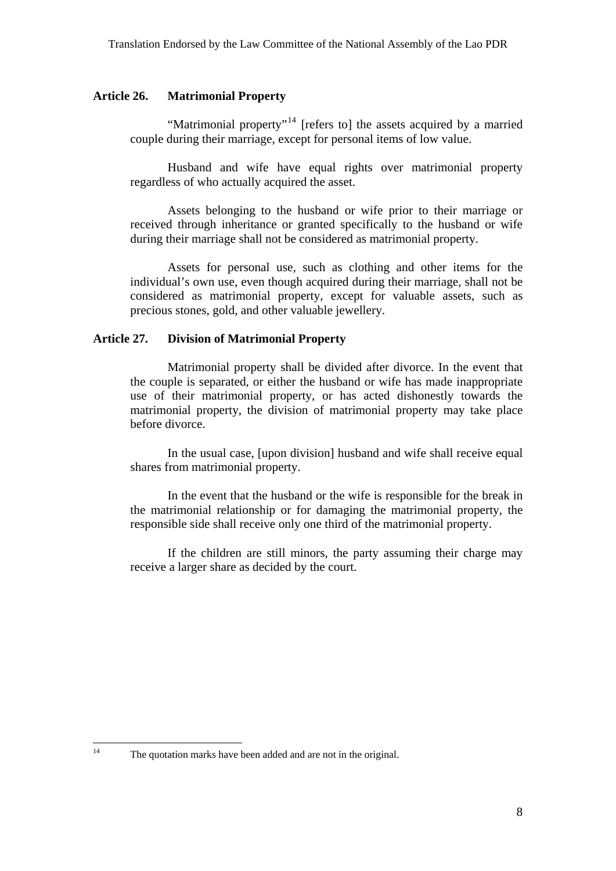#### <span id="page-8-0"></span>**Article 26. Matrimonial Property**

"Matrimonial property"<sup>[14](#page-8-0)</sup> [refers to] the assets acquired by a married couple during their marriage, except for personal items of low value.

Husband and wife have equal rights over matrimonial property regardless of who actually acquired the asset.

Assets belonging to the husband or wife prior to their marriage or received through inheritance or granted specifically to the husband or wife during their marriage shall not be considered as matrimonial property.

Assets for personal use, such as clothing and other items for the individual's own use, even though acquired during their marriage, shall not be considered as matrimonial property, except for valuable assets, such as precious stones, gold, and other valuable jewellery.

## **Article 27. Division of Matrimonial Property**

Matrimonial property shall be divided after divorce. In the event that the couple is separated, or either the husband or wife has made inappropriate use of their matrimonial property, or has acted dishonestly towards the matrimonial property, the division of matrimonial property may take place before divorce.

In the usual case, [upon division] husband and wife shall receive equal shares from matrimonial property.

In the event that the husband or the wife is responsible for the break in the matrimonial relationship or for damaging the matrimonial property, the responsible side shall receive only one third of the matrimonial property.

If the children are still minors, the party assuming their charge may receive a larger share as decided by the court.

 $14$ 

The quotation marks have been added and are not in the original.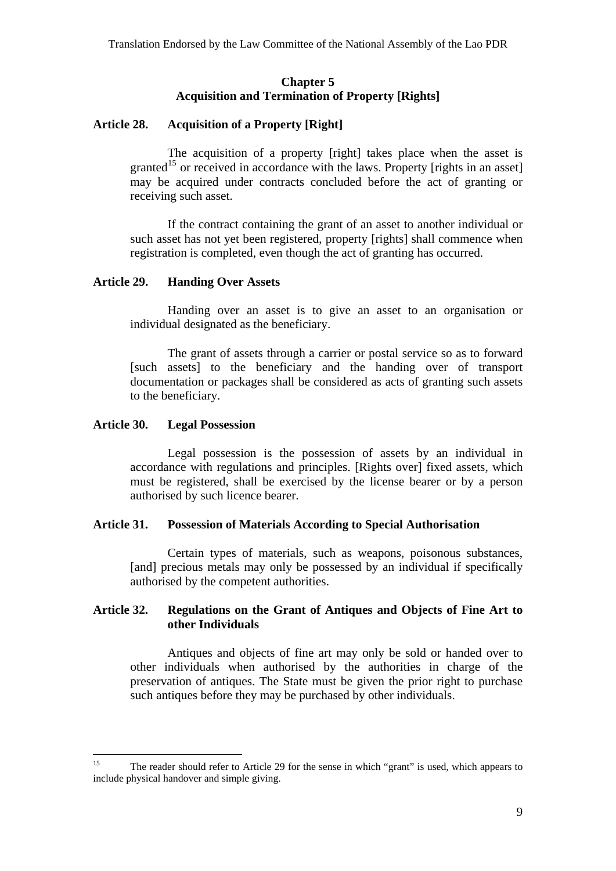#### **Chapter 5 Acquisition and Termination of Property [Rights]**

## <span id="page-9-0"></span>**Article 28. Acquisition of a Property [Right]**

The acquisition of a property [right] takes place when the asset is granted<sup>[15](#page-9-0)</sup> or received in accordance with the laws. Property [rights in an asset] may be acquired under contracts concluded before the act of granting or receiving such asset.

If the contract containing the grant of an asset to another individual or such asset has not yet been registered, property [rights] shall commence when registration is completed, even though the act of granting has occurred.

#### **Article 29. Handing Over Assets**

Handing over an asset is to give an asset to an organisation or individual designated as the beneficiary.

The grant of assets through a carrier or postal service so as to forward [such assets] to the beneficiary and the handing over of transport documentation or packages shall be considered as acts of granting such assets to the beneficiary.

## **Article 30. Legal Possession**

Legal possession is the possession of assets by an individual in accordance with regulations and principles. [Rights over] fixed assets, which must be registered, shall be exercised by the license bearer or by a person authorised by such licence bearer.

## **Article 31. Possession of Materials According to Special Authorisation**

Certain types of materials, such as weapons, poisonous substances, [and] precious metals may only be possessed by an individual if specifically authorised by the competent authorities.

## **Article 32. Regulations on the Grant of Antiques and Objects of Fine Art to other Individuals**

Antiques and objects of fine art may only be sold or handed over to other individuals when authorised by the authorities in charge of the preservation of antiques. The State must be given the prior right to purchase such antiques before they may be purchased by other individuals.

 $15$ 15 The reader should refer to Article 29 for the sense in which "grant" is used, which appears to include physical handover and simple giving.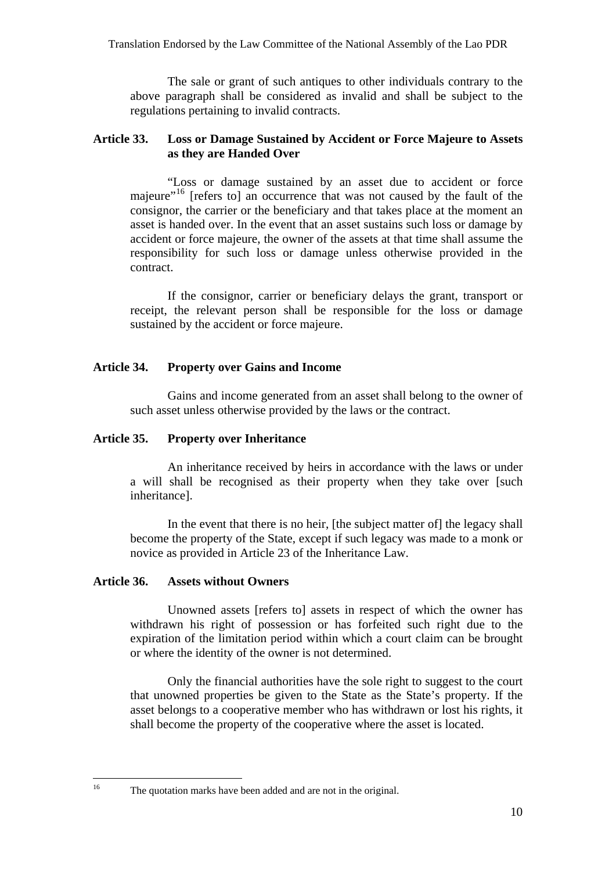<span id="page-10-0"></span>The sale or grant of such antiques to other individuals contrary to the above paragraph shall be considered as invalid and shall be subject to the regulations pertaining to invalid contracts.

## **Article 33. Loss or Damage Sustained by Accident or Force Majeure to Assets as they are Handed Over**

"Loss or damage sustained by an asset due to accident or force majeure"<sup>[16](#page-10-0)</sup> [refers to] an occurrence that was not caused by the fault of the consignor, the carrier or the beneficiary and that takes place at the moment an asset is handed over. In the event that an asset sustains such loss or damage by accident or force majeure, the owner of the assets at that time shall assume the responsibility for such loss or damage unless otherwise provided in the contract.

If the consignor, carrier or beneficiary delays the grant, transport or receipt, the relevant person shall be responsible for the loss or damage sustained by the accident or force majeure.

## **Article 34. Property over Gains and Income**

Gains and income generated from an asset shall belong to the owner of such asset unless otherwise provided by the laws or the contract.

## **Article 35. Property over Inheritance**

An inheritance received by heirs in accordance with the laws or under a will shall be recognised as their property when they take over [such inheritance].

In the event that there is no heir, [the subject matter of] the legacy shall become the property of the State, except if such legacy was made to a monk or novice as provided in Article 23 of the Inheritance Law.

#### **Article 36. Assets without Owners**

Unowned assets [refers to] assets in respect of which the owner has withdrawn his right of possession or has forfeited such right due to the expiration of the limitation period within which a court claim can be brought or where the identity of the owner is not determined.

Only the financial authorities have the sole right to suggest to the court that unowned properties be given to the State as the State's property. If the asset belongs to a cooperative member who has withdrawn or lost his rights, it shall become the property of the cooperative where the asset is located.

 $16$ 

The quotation marks have been added and are not in the original.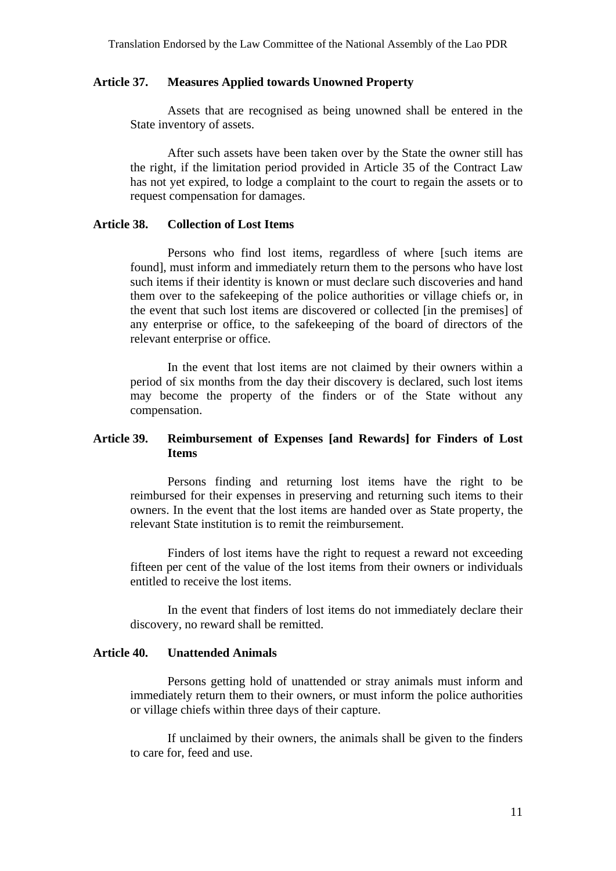#### **Article 37. Measures Applied towards Unowned Property**

Assets that are recognised as being unowned shall be entered in the State inventory of assets.

After such assets have been taken over by the State the owner still has the right, if the limitation period provided in Article 35 of the Contract Law has not yet expired, to lodge a complaint to the court to regain the assets or to request compensation for damages.

#### **Article 38. Collection of Lost Items**

Persons who find lost items, regardless of where [such items are found], must inform and immediately return them to the persons who have lost such items if their identity is known or must declare such discoveries and hand them over to the safekeeping of the police authorities or village chiefs or, in the event that such lost items are discovered or collected [in the premises] of any enterprise or office, to the safekeeping of the board of directors of the relevant enterprise or office.

In the event that lost items are not claimed by their owners within a period of six months from the day their discovery is declared, such lost items may become the property of the finders or of the State without any compensation.

## **Article 39. Reimbursement of Expenses [and Rewards] for Finders of Lost Items**

Persons finding and returning lost items have the right to be reimbursed for their expenses in preserving and returning such items to their owners. In the event that the lost items are handed over as State property, the relevant State institution is to remit the reimbursement.

Finders of lost items have the right to request a reward not exceeding fifteen per cent of the value of the lost items from their owners or individuals entitled to receive the lost items.

In the event that finders of lost items do not immediately declare their discovery, no reward shall be remitted.

#### **Article 40. Unattended Animals**

Persons getting hold of unattended or stray animals must inform and immediately return them to their owners, or must inform the police authorities or village chiefs within three days of their capture.

If unclaimed by their owners, the animals shall be given to the finders to care for, feed and use.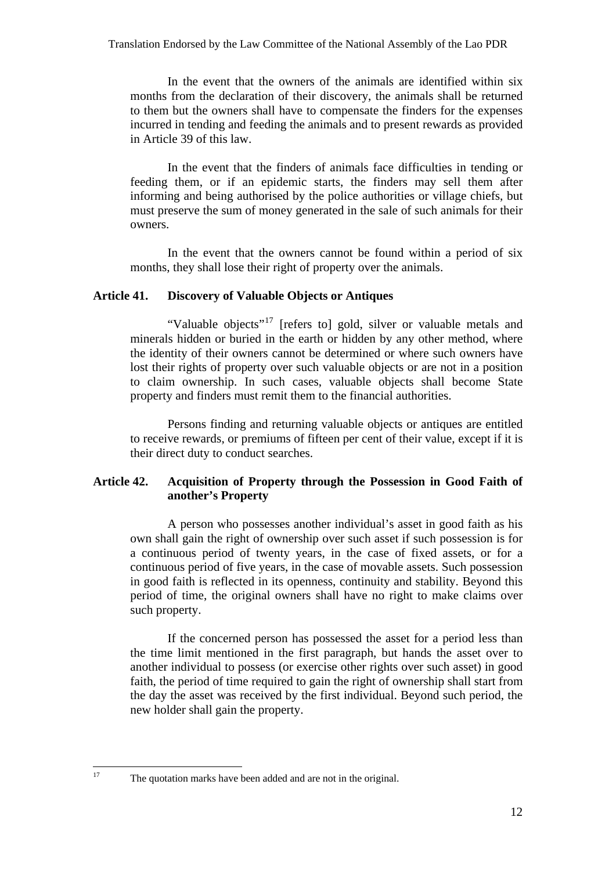<span id="page-12-0"></span>In the event that the owners of the animals are identified within six months from the declaration of their discovery, the animals shall be returned to them but the owners shall have to compensate the finders for the expenses incurred in tending and feeding the animals and to present rewards as provided in Article 39 of this law.

In the event that the finders of animals face difficulties in tending or feeding them, or if an epidemic starts, the finders may sell them after informing and being authorised by the police authorities or village chiefs, but must preserve the sum of money generated in the sale of such animals for their owners.

In the event that the owners cannot be found within a period of six months, they shall lose their right of property over the animals.

#### **Article 41. Discovery of Valuable Objects or Antiques**

"Valuable objects"<sup>[17](#page-12-0)</sup> [refers to] gold, silver or valuable metals and minerals hidden or buried in the earth or hidden by any other method, where the identity of their owners cannot be determined or where such owners have lost their rights of property over such valuable objects or are not in a position to claim ownership. In such cases, valuable objects shall become State property and finders must remit them to the financial authorities.

Persons finding and returning valuable objects or antiques are entitled to receive rewards, or premiums of fifteen per cent of their value, except if it is their direct duty to conduct searches.

## **Article 42. Acquisition of Property through the Possession in Good Faith of another's Property**

A person who possesses another individual's asset in good faith as his own shall gain the right of ownership over such asset if such possession is for a continuous period of twenty years, in the case of fixed assets, or for a continuous period of five years, in the case of movable assets. Such possession in good faith is reflected in its openness, continuity and stability. Beyond this period of time, the original owners shall have no right to make claims over such property.

If the concerned person has possessed the asset for a period less than the time limit mentioned in the first paragraph, but hands the asset over to another individual to possess (or exercise other rights over such asset) in good faith, the period of time required to gain the right of ownership shall start from the day the asset was received by the first individual. Beyond such period, the new holder shall gain the property.

 $17\,$ 

The quotation marks have been added and are not in the original.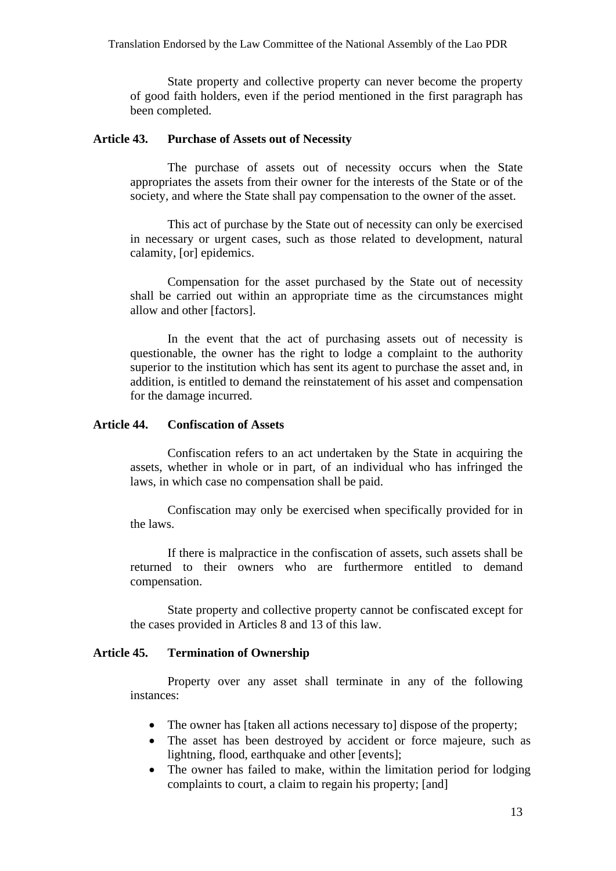State property and collective property can never become the property of good faith holders, even if the period mentioned in the first paragraph has been completed.

#### **Article 43. Purchase of Assets out of Necessity**

The purchase of assets out of necessity occurs when the State appropriates the assets from their owner for the interests of the State or of the society, and where the State shall pay compensation to the owner of the asset.

This act of purchase by the State out of necessity can only be exercised in necessary or urgent cases, such as those related to development, natural calamity, [or] epidemics.

Compensation for the asset purchased by the State out of necessity shall be carried out within an appropriate time as the circumstances might allow and other [factors].

In the event that the act of purchasing assets out of necessity is questionable, the owner has the right to lodge a complaint to the authority superior to the institution which has sent its agent to purchase the asset and, in addition, is entitled to demand the reinstatement of his asset and compensation for the damage incurred.

## **Article 44. Confiscation of Assets**

Confiscation refers to an act undertaken by the State in acquiring the assets, whether in whole or in part, of an individual who has infringed the laws, in which case no compensation shall be paid.

Confiscation may only be exercised when specifically provided for in the laws.

If there is malpractice in the confiscation of assets, such assets shall be returned to their owners who are furthermore entitled to demand compensation.

State property and collective property cannot be confiscated except for the cases provided in Articles 8 and 13 of this law.

#### **Article 45. Termination of Ownership**

Property over any asset shall terminate in any of the following instances:

- The owner has [taken all actions necessary to] dispose of the property;
- The asset has been destroyed by accident or force majeure, such as lightning, flood, earthquake and other [events];
- The owner has failed to make, within the limitation period for lodging complaints to court, a claim to regain his property; [and]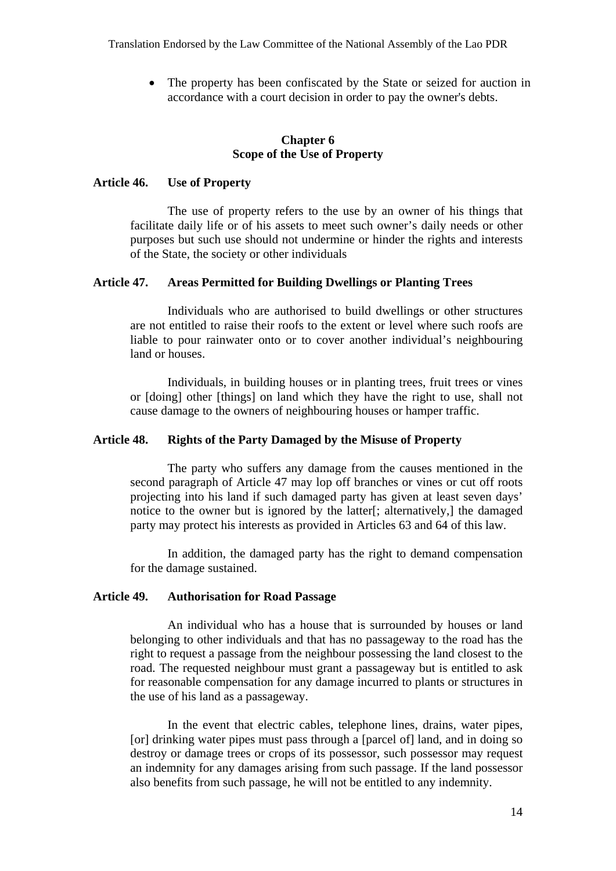• The property has been confiscated by the State or seized for auction in accordance with a court decision in order to pay the owner's debts.

#### **Chapter 6 Scope of the Use of Property**

#### **Article 46. Use of Property**

The use of property refers to the use by an owner of his things that facilitate daily life or of his assets to meet such owner's daily needs or other purposes but such use should not undermine or hinder the rights and interests of the State, the society or other individuals

#### **Article 47. Areas Permitted for Building Dwellings or Planting Trees**

Individuals who are authorised to build dwellings or other structures are not entitled to raise their roofs to the extent or level where such roofs are liable to pour rainwater onto or to cover another individual's neighbouring land or houses.

Individuals, in building houses or in planting trees, fruit trees or vines or [doing] other [things] on land which they have the right to use, shall not cause damage to the owners of neighbouring houses or hamper traffic.

#### **Article 48. Rights of the Party Damaged by the Misuse of Property**

The party who suffers any damage from the causes mentioned in the second paragraph of Article 47 may lop off branches or vines or cut off roots projecting into his land if such damaged party has given at least seven days' notice to the owner but is ignored by the latter[; alternatively,] the damaged party may protect his interests as provided in Articles 63 and 64 of this law.

In addition, the damaged party has the right to demand compensation for the damage sustained.

#### **Article 49. Authorisation for Road Passage**

An individual who has a house that is surrounded by houses or land belonging to other individuals and that has no passageway to the road has the right to request a passage from the neighbour possessing the land closest to the road. The requested neighbour must grant a passageway but is entitled to ask for reasonable compensation for any damage incurred to plants or structures in the use of his land as a passageway.

In the event that electric cables, telephone lines, drains, water pipes, [or] drinking water pipes must pass through a [parcel of] land, and in doing so destroy or damage trees or crops of its possessor, such possessor may request an indemnity for any damages arising from such passage. If the land possessor also benefits from such passage, he will not be entitled to any indemnity.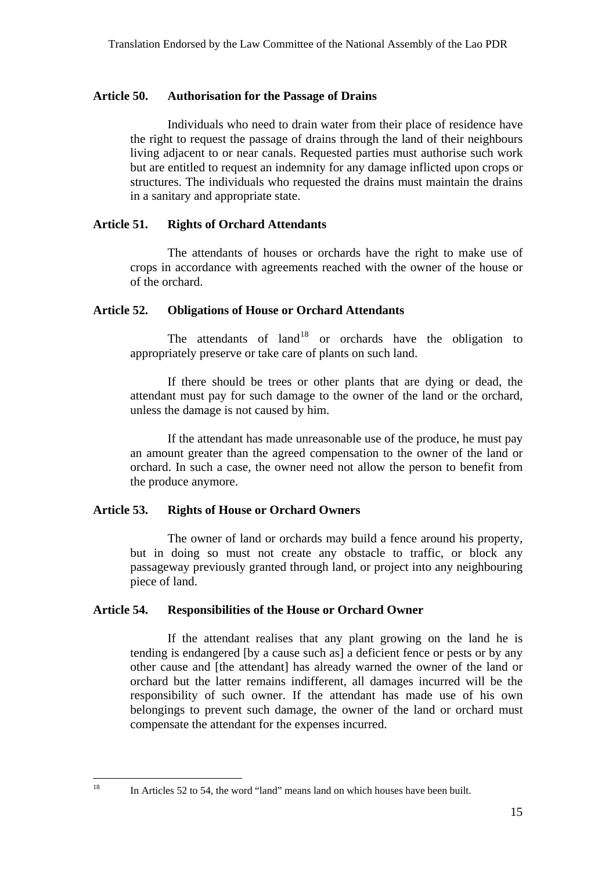#### <span id="page-15-0"></span>**Article 50. Authorisation for the Passage of Drains**

Individuals who need to drain water from their place of residence have the right to request the passage of drains through the land of their neighbours living adjacent to or near canals. Requested parties must authorise such work but are entitled to request an indemnity for any damage inflicted upon crops or structures. The individuals who requested the drains must maintain the drains in a sanitary and appropriate state.

#### **Article 51. Rights of Orchard Attendants**

The attendants of houses or orchards have the right to make use of crops in accordance with agreements reached with the owner of the house or of the orchard.

#### **Article 52. Obligations of House or Orchard Attendants**

The attendants of  $land<sup>18</sup>$  or orchards have the obligation to appropriately preserve or take care of plants on such land.

If there should be trees or other plants that are dying or dead, the attendant must pay for such damage to the owner of the land or the orchard, unless the damage is not caused by him.

If the attendant has made unreasonable use of the produce, he must pay an amount greater than the agreed compensation to the owner of the land or orchard. In such a case, the owner need not allow the person to benefit from the produce anymore.

#### **Article 53. Rights of House or Orchard Owners**

The owner of land or orchards may build a fence around his property, but in doing so must not create any obstacle to traffic, or block any passageway previously granted through land, or project into any neighbouring piece of land.

## **Article 54. Responsibilities of the House or Orchard Owner**

If the attendant realises that any plant growing on the land he is tending is endangered [by a cause such as] a deficient fence or pests or by any other cause and [the attendant] has already warned the owner of the land or orchard but the latter remains indifferent, all damages incurred will be the responsibility of such owner. If the attendant has made use of his own belongings to prevent such damage, the owner of the land or orchard must compensate the attendant for the expenses incurred.

 $18\,$ 

In Articles 52 to 54, the word "land" means land on which houses have been built.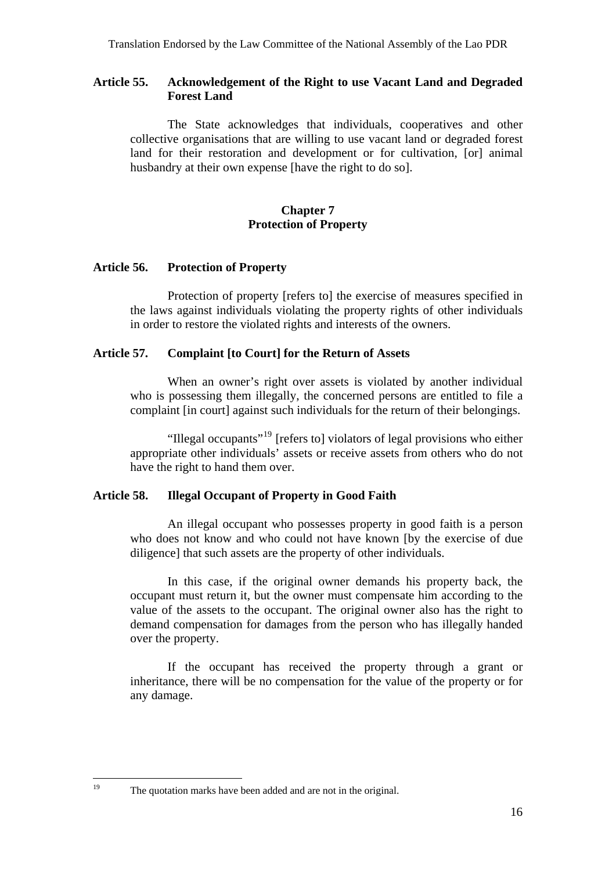## <span id="page-16-0"></span>**Article 55. Acknowledgement of the Right to use Vacant Land and Degraded Forest Land**

The State acknowledges that individuals, cooperatives and other collective organisations that are willing to use vacant land or degraded forest land for their restoration and development or for cultivation, [or] animal husbandry at their own expense [have the right to do so].

## **Chapter 7 Protection of Property**

#### **Article 56. Protection of Property**

Protection of property [refers to] the exercise of measures specified in the laws against individuals violating the property rights of other individuals in order to restore the violated rights and interests of the owners.

#### **Article 57. Complaint [to Court] for the Return of Assets**

When an owner's right over assets is violated by another individual who is possessing them illegally, the concerned persons are entitled to file a complaint [in court] against such individuals for the return of their belongings.

"Illegal occupants"[19](#page-16-0) [refers to] violators of legal provisions who either appropriate other individuals' assets or receive assets from others who do not have the right to hand them over.

## **Article 58. Illegal Occupant of Property in Good Faith**

An illegal occupant who possesses property in good faith is a person who does not know and who could not have known [by the exercise of due diligence] that such assets are the property of other individuals.

In this case, if the original owner demands his property back, the occupant must return it, but the owner must compensate him according to the value of the assets to the occupant. The original owner also has the right to demand compensation for damages from the person who has illegally handed over the property.

If the occupant has received the property through a grant or inheritance, there will be no compensation for the value of the property or for any damage.

19

The quotation marks have been added and are not in the original.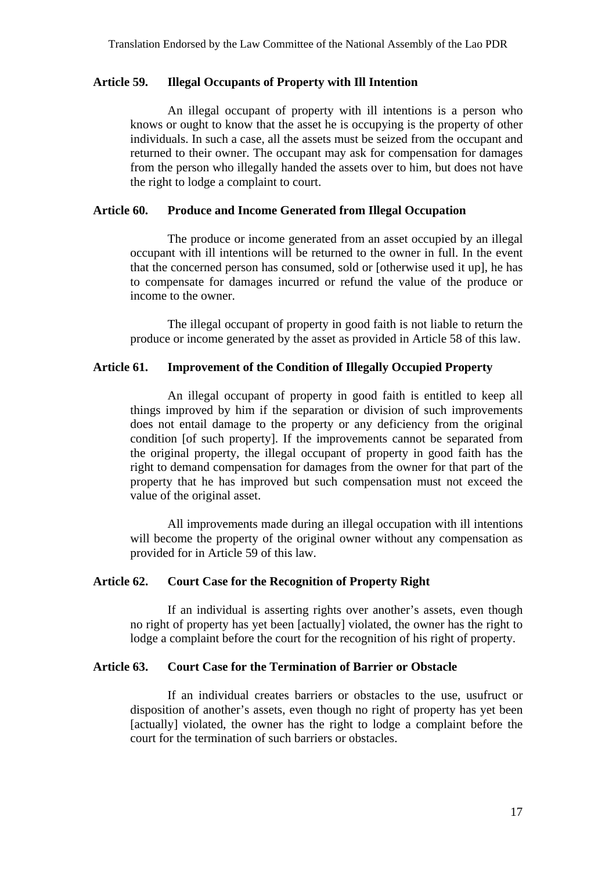#### **Article 59. Illegal Occupants of Property with Ill Intention**

An illegal occupant of property with ill intentions is a person who knows or ought to know that the asset he is occupying is the property of other individuals. In such a case, all the assets must be seized from the occupant and returned to their owner. The occupant may ask for compensation for damages from the person who illegally handed the assets over to him, but does not have the right to lodge a complaint to court.

## **Article 60. Produce and Income Generated from Illegal Occupation**

The produce or income generated from an asset occupied by an illegal occupant with ill intentions will be returned to the owner in full. In the event that the concerned person has consumed, sold or [otherwise used it up], he has to compensate for damages incurred or refund the value of the produce or income to the owner.

The illegal occupant of property in good faith is not liable to return the produce or income generated by the asset as provided in Article 58 of this law.

## **Article 61. Improvement of the Condition of Illegally Occupied Property**

An illegal occupant of property in good faith is entitled to keep all things improved by him if the separation or division of such improvements does not entail damage to the property or any deficiency from the original condition [of such property]. If the improvements cannot be separated from the original property, the illegal occupant of property in good faith has the right to demand compensation for damages from the owner for that part of the property that he has improved but such compensation must not exceed the value of the original asset.

All improvements made during an illegal occupation with ill intentions will become the property of the original owner without any compensation as provided for in Article 59 of this law.

#### **Article 62. Court Case for the Recognition of Property Right**

If an individual is asserting rights over another's assets, even though no right of property has yet been [actually] violated, the owner has the right to lodge a complaint before the court for the recognition of his right of property.

#### **Article 63. Court Case for the Termination of Barrier or Obstacle**

If an individual creates barriers or obstacles to the use, usufruct or disposition of another's assets, even though no right of property has yet been [actually] violated, the owner has the right to lodge a complaint before the court for the termination of such barriers or obstacles.